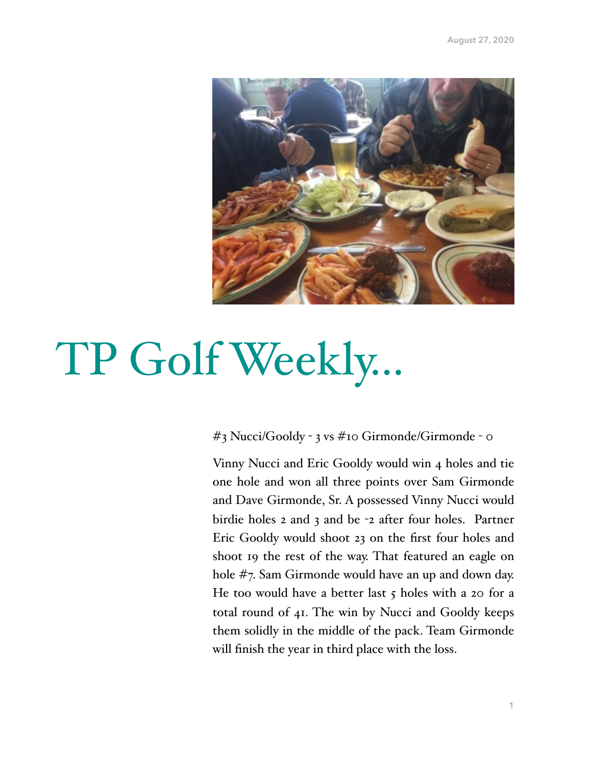

# TP Golf Weekly…

# #3 Nucci/Gooldy - 3 vs #10 Girmonde/Girmonde - 0

Vinny Nucci and Eric Gooldy would win 4 holes and tie one hole and won all three points over Sam Girmonde and Dave Girmonde, Sr. A possessed Vinny Nucci would birdie holes 2 and 3 and be -2 after four holes. Partner Eric Gooldy would shoot 23 on the first four holes and shoot 19 the rest of the way. That featured an eagle on hole #7. Sam Girmonde would have an up and down day. He too would have a better last  $\zeta$  holes with a 20 for a total round of 41. The win by Nucci and Gooldy keeps them solidly in the middle of the pack. Team Girmonde will finish the year in third place with the loss.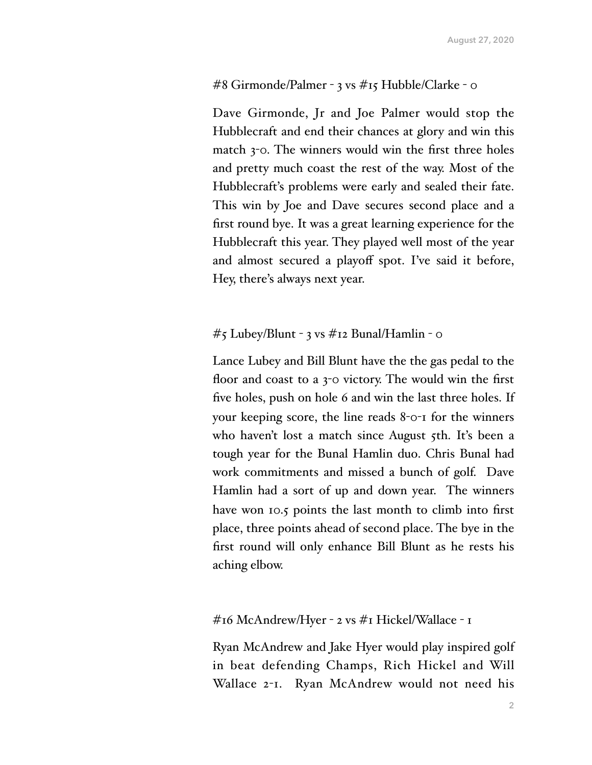#### #8 Girmonde/Palmer - 3 vs #15 Hubble/Clarke - 0

Dave Girmonde, Jr and Joe Palmer would stop the Hubblecraft and end their chances at glory and win this match 3-0. The winners would win the first three holes and pretty much coast the rest of the way. Most of the Hubblecraft's problems were early and sealed their fate. This win by Joe and Dave secures second place and a first round bye. It was a great learning experience for the Hubblecraft this year. They played well most of the year and almost secured a playoff spot. I've said it before, Hey, there's always next year.

# #5 Lubey/Blunt - 3 vs #12 Bunal/Hamlin - 0

Lance Lubey and Bill Blunt have the the gas pedal to the floor and coast to a 3-0 victory. The would win the first five holes, push on hole 6 and win the last three holes. If your keeping score, the line reads 8-0-1 for the winners who haven't lost a match since August 5th. It's been a tough year for the Bunal Hamlin duo. Chris Bunal had work commitments and missed a bunch of golf. Dave Hamlin had a sort of up and down year. The winners have won 10.5 points the last month to climb into first place, three points ahead of second place. The bye in the first round will only enhance Bill Blunt as he rests his aching elbow.

#### #16 McAndrew/Hyer - 2 vs #1 Hickel/Wallace - 1

Ryan McAndrew and Jake Hyer would play inspired golf in beat defending Champs, Rich Hickel and Will Wallace 2-1. Ryan McAndrew would not need his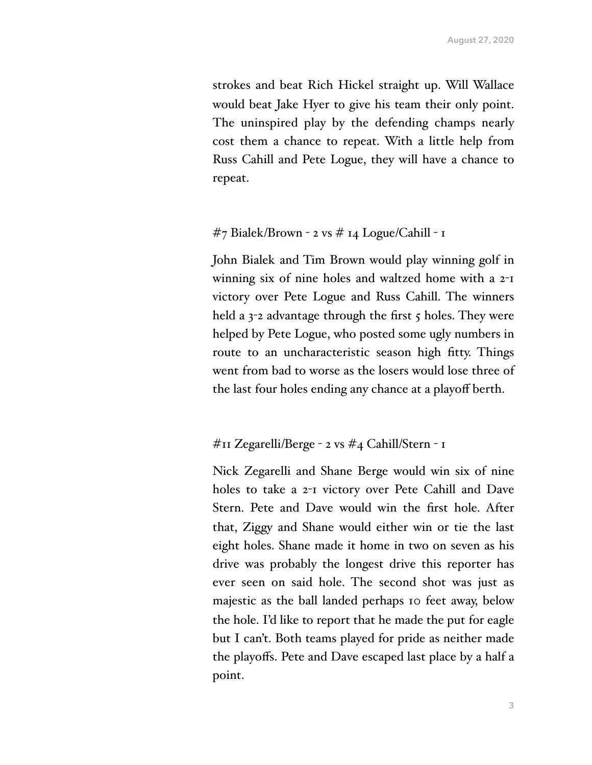strokes and beat Rich Hickel straight up. Will Wallace would beat Jake Hyer to give his team their only point. The uninspired play by the defending champs nearly cost them a chance to repeat. With a little help from Russ Cahill and Pete Logue, they will have a chance to repeat.

## #7 Bialek/Brown - 2 vs # 14 Logue/Cahill - 1

John Bialek and Tim Brown would play winning golf in winning six of nine holes and waltzed home with a 2-1 victory over Pete Logue and Russ Cahill. The winners held a  $3$ -2 advantage through the first  $5$  holes. They were helped by Pete Logue, who posted some ugly numbers in route to an uncharacteristic season high fitty. Things went from bad to worse as the losers would lose three of the last four holes ending any chance at a playoff berth.

## #11 Zegarelli/Berge - 2 vs #4 Cahill/Stern - 1

Nick Zegarelli and Shane Berge would win six of nine holes to take a 2-1 victory over Pete Cahill and Dave Stern. Pete and Dave would win the first hole. After that, Ziggy and Shane would either win or tie the last eight holes. Shane made it home in two on seven as his drive was probably the longest drive this reporter has ever seen on said hole. The second shot was just as majestic as the ball landed perhaps 10 feet away, below the hole. I'd like to report that he made the put for eagle but I can't. Both teams played for pride as neither made the playoffs. Pete and Dave escaped last place by a half a point.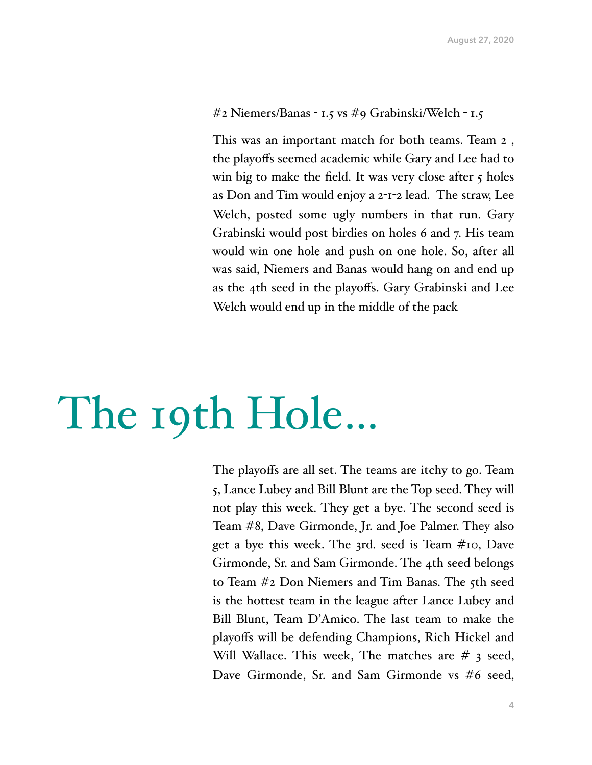#### #2 Niemers/Banas - 1.5 vs #9 Grabinski/Welch - 1.5

This was an important match for both teams. Team 2 , the playoffs seemed academic while Gary and Lee had to win big to make the field. It was very close after  $\zeta$  holes as Don and Tim would enjoy a 2-1-2 lead. The straw, Lee Welch, posted some ugly numbers in that run. Gary Grabinski would post birdies on holes 6 and 7. His team would win one hole and push on one hole. So, after all was said, Niemers and Banas would hang on and end up as the 4th seed in the playoffs. Gary Grabinski and Lee Welch would end up in the middle of the pack

# The 19th Hole…

The playoffs are all set. The teams are itchy to go. Team 5, Lance Lubey and Bill Blunt are the Top seed. They will not play this week. They get a bye. The second seed is Team #8, Dave Girmonde, Jr. and Joe Palmer. They also get a bye this week. The 3rd. seed is Team #10, Dave Girmonde, Sr. and Sam Girmonde. The 4th seed belongs to Team #2 Don Niemers and Tim Banas. The 5th seed is the hottest team in the league after Lance Lubey and Bill Blunt, Team D'Amico. The last team to make the playoffs will be defending Champions, Rich Hickel and Will Wallace. This week, The matches are # 3 seed, Dave Girmonde, Sr. and Sam Girmonde vs #6 seed,